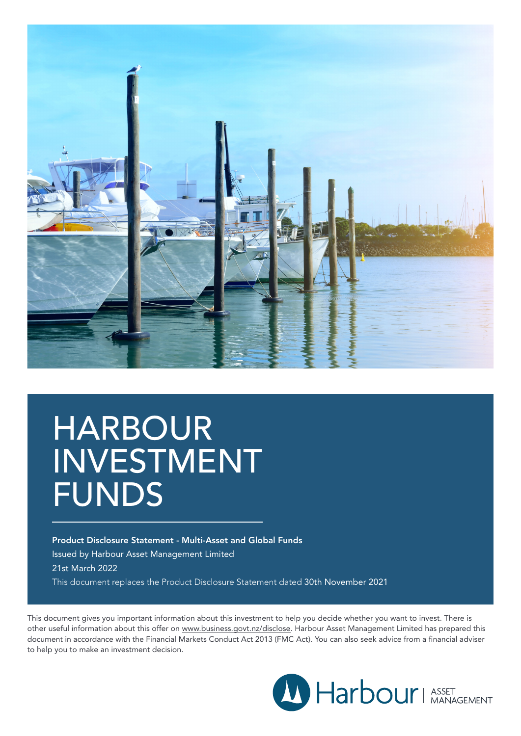

# HARBOUR INVESTMENT FUNDS

Product Disclosure Statement - Multi-Asset and Global Funds Issued by Harbour Asset Management Limited 21st March 2022 This document replaces the Product Disclosure Statement dated 30th November 2021

This document gives you important information about this investment to help you decide whether you want to invest. There is other useful information about this offer on <www.business.govt.nz/disclose>. Harbour Asset Management Limited has prepared this document in accordance with the Financial Markets Conduct Act 2013 (FMC Act). You can also seek advice from a financial adviser to help you to make an investment decision.

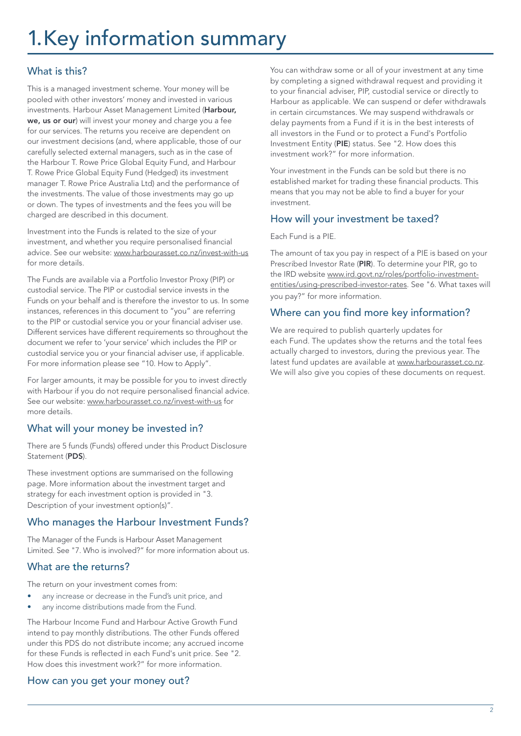# <1.Key>information summary

## What is this?

This is a managed investment scheme. Your money will be pooled with other investors' money and invested in various investments. Harbour Asset Management Limited (Harbour, we, us or our) will invest your money and charge you a fee for our services. The returns you receive are dependent on our investment decisions (and, where applicable, those of our carefully selected external managers, such as in the case of the Harbour T. Rowe Price Global Equity Fund, and Harbour T. Rowe Price Global Equity Fund (Hedged) its investment manager T. Rowe Price Australia Ltd) and the performance of the investments. The value of those investments may go up or down. The types of investments and the fees you will be charged are described in this document.

Investment into the Funds is related to the size of your investment, and whether you require personalised financial advice. See our website: www.harbourasset.co.nz/invest-with-us for more details.

The Funds are available via a Portfolio Investor Proxy (PIP) or custodial service. The PIP or custodial service invests in the Funds on your behalf and is therefore the investor to us. In some instances, references in this document to "you" are referring to the PIP or custodial service you or your financial adviser use. Different services have different requirements so throughout the document we refer to 'your service' which includes the PIP or custodial service you or your financial adviser use, if applicable. For more information please see "10. How to Apply".

For larger amounts, it may be possible for you to invest directly with Harbour if you do not require personalised financial advice. See our website: [www.harbourasset.co.nz/invest-with-us](http://www.harbourasset.co.nz/invest-with-us ) for more details.

### What will your money be invested in?

There are 5 funds (Funds) offered under this Product Disclosure Statement (PDS).

These investment options are summarised on the following page. More information about the investment target and strategy for each investment option is provided in "3. Description of your investment option(s)".

### Who manages the Harbour Investment Funds?

The Manager of the Funds is Harbour Asset Management Limited. See "7. Who is involved?" for more information about us.

### What are the returns?

The return on your investment comes from:

- any increase or decrease in the Fund's unit price, and
- any income distributions made from the Fund.

The Harbour Income Fund and Harbour Active Growth Fund intend to pay monthly distributions. The other Funds offered under this PDS do not distribute income; any accrued income for these Funds is reflected in each Fund's unit price. See "2. How does this investment work?" for more information.

### How can you get your money out?

You can withdraw some or all of your investment at any time by completing a signed withdrawal request and providing it to your financial adviser, PIP, custodial service or directly to Harbour as applicable. We can suspend or defer withdrawals in certain circumstances. We may suspend withdrawals or delay payments from a Fund if it is in the best interests of all investors in the Fund or to protect a Fund's Portfolio Investment Entity (PIE) status. See "2. How does this investment work?" for more information.

Your investment in the Funds can be sold but there is no established market for trading these financial products. This means that you may not be able to find a buyer for your investment.

### How will your investment be taxed?

Each Fund is a PIE.

The amount of tax you pay in respect of a PIE is based on your Prescribed Investor Rate (PIR). To determine your PIR, go to the IRD website [www.ird.govt.nz/roles/portfolio-investment](https://www.ird.govt.nz/roles/portfolio-investment-entities/using-prescribed-investor-rates)[entities/using-prescribed-investor-rates](https://www.ird.govt.nz/roles/portfolio-investment-entities/using-prescribed-investor-rates). See "6. What taxes will you pay?" for more information.

## Where can you find more key information?

We are required to publish quarterly updates for each Fund. The updates show the returns and the total fees actually charged to investors, during the previous year. The latest fund updates are available at [www.harbourasset.co.nz.](www.harbourasset.co.nz) We will also give you copies of these documents on request.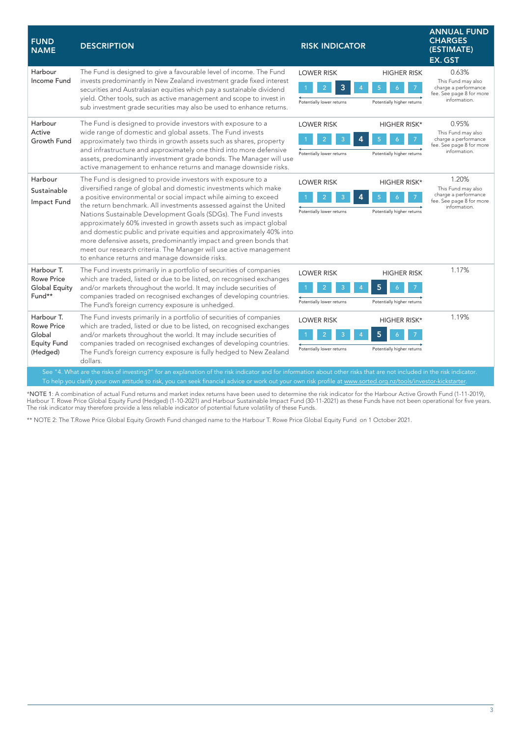| <b>FUND</b><br><b>NAME</b>                                                                                                                                                                                                                                                                                                               | <b>DESCRIPTION</b>                                                                                                                                                                                                                                                                                                                                                                                                                                                                                                                                                                                                                                                                | <b>RISK INDICATOR</b>                                                                                                     | <b>ANNUAL FUND</b><br><b>CHARGES</b><br>(ESTIMATE)<br>EX. GST                                   |  |
|------------------------------------------------------------------------------------------------------------------------------------------------------------------------------------------------------------------------------------------------------------------------------------------------------------------------------------------|-----------------------------------------------------------------------------------------------------------------------------------------------------------------------------------------------------------------------------------------------------------------------------------------------------------------------------------------------------------------------------------------------------------------------------------------------------------------------------------------------------------------------------------------------------------------------------------------------------------------------------------------------------------------------------------|---------------------------------------------------------------------------------------------------------------------------|-------------------------------------------------------------------------------------------------|--|
| Harbour<br>Income Fund                                                                                                                                                                                                                                                                                                                   | The Fund is designed to give a favourable level of income. The Fund<br>invests predominantly in New Zealand investment grade fixed interest<br>securities and Australasian equities which pay a sustainable dividend<br>yield. Other tools, such as active management and scope to invest in<br>sub investment grade securities may also be used to enhance returns.                                                                                                                                                                                                                                                                                                              | <b>LOWER RISK</b><br><b>HIGHER RISK</b><br>3<br>$\overline{2}$<br>Potentially lower returns<br>Potentially higher returns | 0.63%<br>This Fund may also<br>charge a performance<br>fee. See page 8 for more<br>information. |  |
| Harbour<br>Active<br>Growth Fund                                                                                                                                                                                                                                                                                                         | The Fund is designed to provide investors with exposure to a<br>wide range of domestic and global assets. The Fund invests<br>approximately two thirds in growth assets such as shares, property<br>and infrastructure and approximately one third into more defensive<br>assets, predominantly investment grade bonds. The Manager will use<br>active management to enhance returns and manage downside risks.                                                                                                                                                                                                                                                                   | <b>LOWER RISK</b><br><b>HIGHER RISK*</b><br>5<br>Potentially lower returns<br>Potentially higher returns                  | 0.95%<br>This Fund may also<br>charge a performance<br>fee. See page 8 for more<br>information. |  |
| Harbour<br>Sustainable<br>Impact Fund                                                                                                                                                                                                                                                                                                    | The Fund is designed to provide investors with exposure to a<br>diversified range of global and domestic investments which make<br>a positive environmental or social impact while aiming to exceed<br>the return benchmark. All investments assessed against the United<br>Nations Sustainable Development Goals (SDGs). The Fund invests<br>approximately 60% invested in growth assets such as impact global<br>and domestic public and private equities and approximately 40% into<br>more defensive assets, predominantly impact and green bonds that<br>meet our research criteria. The Manager will use active management<br>to enhance returns and manage downside risks. | <b>LOWER RISK</b><br><b>HIGHER RISK*</b><br>Potentially higher returns<br>Potentially lower returns                       | 1.20%<br>This Fund may also<br>charge a performance<br>fee. See page 8 for more<br>information. |  |
| Harbour T.<br><b>Rowe Price</b><br><b>Global Equity</b><br>Fund**                                                                                                                                                                                                                                                                        | The Fund invests primarily in a portfolio of securities of companies<br>which are traded, listed or due to be listed, on recognised exchanges<br>and/or markets throughout the world. It may include securities of<br>companies traded on recognised exchanges of developing countries.<br>The Fund's foreign currency exposure is unhedged.                                                                                                                                                                                                                                                                                                                                      | <b>LOWER RISK</b><br><b>HIGHER RISK</b><br>5<br>Potentially lower returns<br>Potentially higher returns                   | 1.17%                                                                                           |  |
| Harbour T.<br><b>Rowe Price</b><br>Global<br><b>Equity Fund</b><br>(Hedged)                                                                                                                                                                                                                                                              | The Fund invests primarily in a portfolio of securities of companies<br>which are traded, listed or due to be listed, on recognised exchanges<br>and/or markets throughout the world. It may include securities of<br>companies traded on recognised exchanges of developing countries.<br>The Fund's foreign currency exposure is fully hedged to New Zealand<br>dollars.                                                                                                                                                                                                                                                                                                        | <b>LOWER RISK</b><br><b>HIGHER RISK*</b><br>5<br>Potentially lower returns<br>Potentially higher returns                  | 1.19%                                                                                           |  |
| See "4. What are the risks of investing?" for an explanation of the risk indicator and for information about other risks that are not included in the risk indicator.<br>To help you clarify your own attitude to risk, you can seek financial advice or work out your own risk profile at www.sorted.org.nz/tools/investor-kickstarter. |                                                                                                                                                                                                                                                                                                                                                                                                                                                                                                                                                                                                                                                                                   |                                                                                                                           |                                                                                                 |  |

\***NOTE** 1: A combination of actual Fund returns and market index returns have been used to determine the risk indicator for the Harbour Active Growth Fund (1-11-2019),<br>Harbour T. Rowe Price Global Equity Fund (Hedged) (1-1 The risk indicator may therefore provide a less reliable indicator of potential future volatility of these Funds.

\*\* NOTE 2: The T.Rowe Price Global Equity Growth Fund changed name to the Harbour T. Rowe Price Global Equity Fund on 1 October 2021.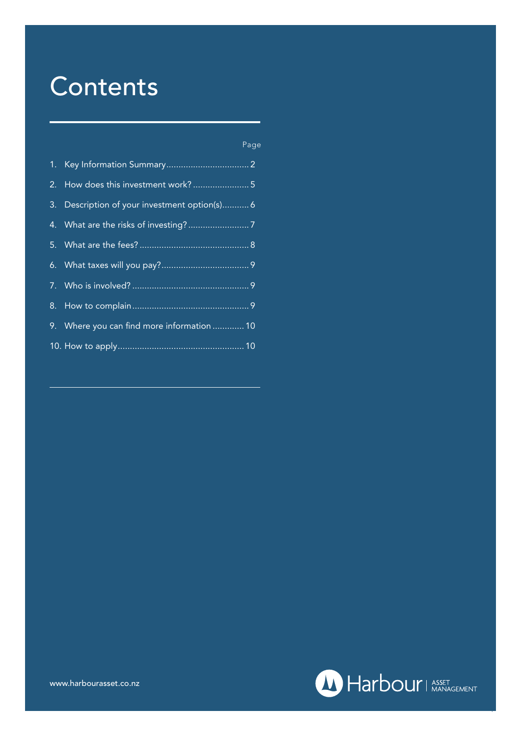# **Contents**

| Page |  |  |
|------|--|--|
|      |  |  |
|      |  |  |

| 3. Description of your investment option(s) 6 |
|-----------------------------------------------|
|                                               |
|                                               |
|                                               |
|                                               |
|                                               |
| 9. Where you can find more information  10    |
|                                               |



4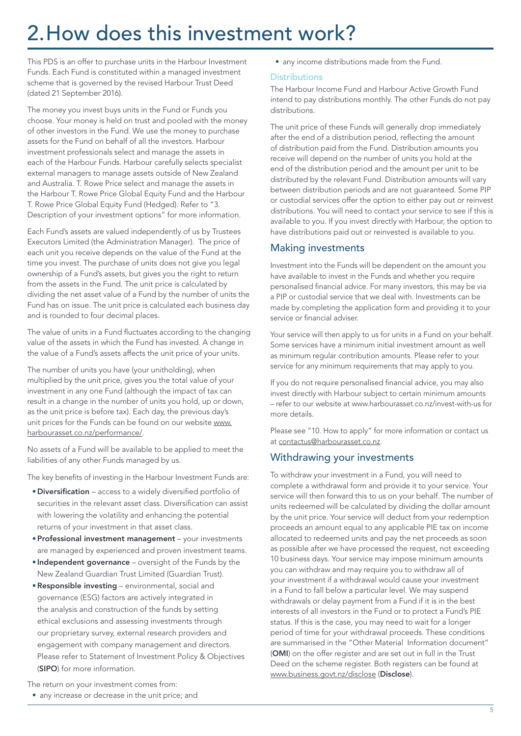# 2[.H](1.Key)ow does this investment work?

This PDS is an offer to purchase units in the Harbour Investment Funds. Each Fund is constituted within a managed investment scheme that is governed by the revised Harbour Trust Deed (dated 21 September 2016).

The money you invest buys units in the Fund or Funds you choose. Your money is held on trust and pooled with the money of other investors in the Fund. We use the money to purchase assets for the Fund on behalf of all the investors. Harbour investment professionals select and manage the assets in each of the Harbour Funds. Harbour carefully selects specialist external managers to manage assets outside of New Zealand and Australia. T. Rowe Price select and manage the assets in the Harbour T. Rowe Price Global Equity Fund and the Harbour T. Rowe Price Global Equity Fund (Hedged). Refer to "3. Description of your investment options" for more information.

Each Fund's assets are valued independently of us by Trustees Executors Limited (the Administration Manager). The price of each unit you receive depends on the value of the Fund at the time you invest. The purchase of units does not give you legal ownership of a Fund's assets, but gives you the right to return from the assets in the Fund. The unit price is calculated by dividing the net asset value of a Fund by the number of units the Fund has on issue. The unit price is calculated each business day and is rounded to four decimal places.

The value of units in a Fund fluctuates according to the changing value of the assets in which the Fund has invested. A change in the value of a Fund's assets affects the unit price of your units.

The number of units you have (your unitholding), when multiplied by the unit price, gives you the total value of your investment in any one Fund (although the impact of tax can result in a change in the number of units you hold, up or down, as the unit price is before tax). Each day, the previous day's unit prices for the Funds can be found on our website [www.](http://www.harbourasset.co.nz/performance/) [harbourasset.co.nz/p](http://www.harbourasset.co.nz/performance/)erformance/.

No assets of a Fund will be available to be applied to meet the liabilities of any other Funds managed by us.

The key benefits of investing in the Harbour Investment Funds are:

- •Diversification access to a widely diversified portfolio of securities in the relevant asset class. Diversification can assist with lowering the volatility and enhancing the potential returns of your investment in that asset class.
- •Professional investment management your investments are managed by experienced and proven investment teams.
- Independent governance oversight of the Funds by the New Zealand Guardian Trust Limited (Guardian Trust).
- •Responsible investing environmental, social and governance (ESG) factors are actively integrated in the analysis and construction of the funds by setting ethical exclusions and assessing investments through our proprietary survey, external research providers and engagement with company management and directors. Please refer to Statement of Investment Policy & Objectives (SIPO) for more information.

The return on your investment comes from:

• any increase or decrease in the unit price; and

• any income distributions made from the Fund.

#### **Distributions**

The Harbour Income Fund and Harbour Active Growth Fund intend to pay distributions monthly. The other Funds do not pay distributions.

The unit price of these Funds will generally drop immediately after the end of a distribution period, reflecting the amount of distribution paid from the Fund. Distribution amounts you receive will depend on the number of units you hold at the end of the distribution period and the amount per unit to be distributed by the relevant Fund. Distribution amounts will vary between distribution periods and are not guaranteed. Some PIP or custodial services offer the option to either pay out or reinvest distributions. You will need to contact your service to see if this is available to you. If you invest directly with Harbour, the option to have distributions paid out or reinvested is available to you.

#### Making investments

Investment into the Funds will be dependent on the amount you have available to invest in the Funds and whether you require personalised financial advice. For many investors, this may be via a PIP or custodial service that we deal with. Investments can be made by completing the application form and providing it to your service or financial adviser.

Your service will then apply to us for units in a Fund on your behalf. Some services have a minimum initial investment amount as well as minimum regular contribution amounts. Please refer to your service for any minimum requirements that may apply to you.

If you do not require personalised financial advice, you may also invest directly with Harbour subject to certain minimum amounts – refer to our website at www.harbourasset.co.nz/invest-with-us for more details.

Please see "10. How to apply" for more information or contact us at [contactus@harbourasset.co.nz](mailto:contactus@harbourasset.co.nz).

#### Withdrawing your investments

To withdraw your investment in a Fund, you will need to complete a withdrawal form and provide it to your service. Your service will then forward this to us on your behalf. The number of units redeemed will be calculated by dividing the dollar amount by the unit price. Your service will deduct from your redemption proceeds an amount equal to any applicable PIE tax on income allocated to redeemed units and pay the net proceeds as soon as possible after we have processed the request, not exceeding 10 business days. Your service may impose minimum amounts you can withdraw and may require you to withdraw all of your investment if a withdrawal would cause your investment in a Fund to fall below a particular level. We may suspend withdrawals or delay payment from a Fund if it is in the best interests of all investors in the Fund or to protect a Fund's PIE status. If this is the case, you may need to wait for a longer period of time for your withdrawal proceeds. These conditions are summarised in the "Other Material Information document" (OMI) on the offer register and are set out in full in the Trust Deed on the scheme register. Both registers can be found at [www.business.govt.nz/disclose](http://www.business.govt.nz/disclose) (Disclose).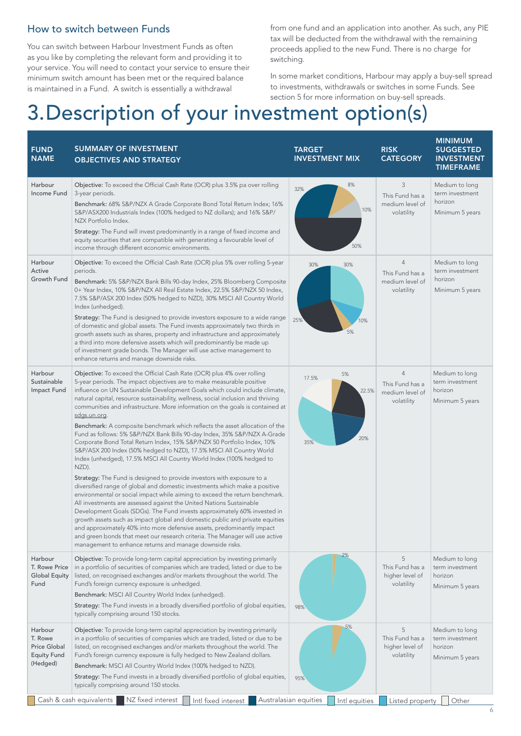### How to switch between Funds

You can switch between Harbour Investment Funds as often as you like by completing the relevant form and providing it to your service. You will need to contact your service to ensure their minimum switch amount has been met or the required balance is maintained in a Fund. A switch is essentially a withdrawal

from one fund and an application into another. As such, any PIE tax will be deducted from the withdrawal with the remaining proceeds applied to the new Fund. There is no charge for switching.

In some market conditions, Harbour may apply a buy-sell spread to investments, withdrawals or switches in some Funds. See section 5 for more information on buy-sell spreads.

# 3[.D](1.Key)escription of your investment option(s)

| <b>FUND</b><br><b>NAME</b>                                                  | <b>SUMMARY OF INVESTMENT</b><br><b>OBJECTIVES AND STRATEGY</b>                                                                                                                                                                                                                                                                                                                                                                                                                                                                                                                                                                                                                                                                                                                                |                                                                                                                                                                                                                                                                                                                                                                                                                                                                                                                                                                                                                                                                                                                                                                                                                                                                                                                                                                                                                                                                                                                                                                                                                                                                                                                                                                                                                                                                                                                                                                                                                | TARGET<br><b>INVESTMENT MIX</b>                      |                                                       | <b>RISK</b><br><b>CATEGORY</b>                                     |                                                                 | <b>MINIMUM</b><br><b>SUGGESTED</b><br><b>INVESTMENT</b><br><b>TIMEFRAME</b> |
|-----------------------------------------------------------------------------|-----------------------------------------------------------------------------------------------------------------------------------------------------------------------------------------------------------------------------------------------------------------------------------------------------------------------------------------------------------------------------------------------------------------------------------------------------------------------------------------------------------------------------------------------------------------------------------------------------------------------------------------------------------------------------------------------------------------------------------------------------------------------------------------------|----------------------------------------------------------------------------------------------------------------------------------------------------------------------------------------------------------------------------------------------------------------------------------------------------------------------------------------------------------------------------------------------------------------------------------------------------------------------------------------------------------------------------------------------------------------------------------------------------------------------------------------------------------------------------------------------------------------------------------------------------------------------------------------------------------------------------------------------------------------------------------------------------------------------------------------------------------------------------------------------------------------------------------------------------------------------------------------------------------------------------------------------------------------------------------------------------------------------------------------------------------------------------------------------------------------------------------------------------------------------------------------------------------------------------------------------------------------------------------------------------------------------------------------------------------------------------------------------------------------|------------------------------------------------------|-------------------------------------------------------|--------------------------------------------------------------------|-----------------------------------------------------------------|-----------------------------------------------------------------------------|
| Harbour<br>Income Fund                                                      | Objective: To exceed the Official Cash Rate (OCR) plus 3.5% pa over rolling<br>3-year periods.<br>Benchmark: 68% S&P/NZX A Grade Corporate Bond Total Return Index; 16%<br>S&P/ASX200 Industrials Index (100% hedged to NZ dollars); and 16% S&P/<br>NZX Portfolio Index.<br>Strategy: The Fund will invest predominantly in a range of fixed income and<br>equity securities that are compatible with generating a favourable level of<br>income through different economic environments.                                                                                                                                                                                                                                                                                                    |                                                                                                                                                                                                                                                                                                                                                                                                                                                                                                                                                                                                                                                                                                                                                                                                                                                                                                                                                                                                                                                                                                                                                                                                                                                                                                                                                                                                                                                                                                                                                                                                                | 32%                                                  | 8%<br>10%<br>50%                                      | 3<br>This Fund has a<br>medium level of<br>volatility              |                                                                 | Medium to long<br>term investment<br>horizon<br>Minimum 5 years             |
| Harbour<br>Active<br>Growth Fund                                            | Objective: To exceed the Official Cash Rate (OCR) plus 5% over rolling 5-year<br>periods.<br>Benchmark: 5% S&P/NZX Bank Bills 90-day Index, 25% Bloomberg Composite<br>0+ Year Index, 10% S&P/NZX All Real Estate Index, 22.5% S&P/NZX 50 Index,<br>7.5% S&P/ASX 200 Index (50% hedged to NZD), 30% MSCI All Country World<br>Index (unhedged).<br>Strategy: The Fund is designed to provide investors exposure to a wide range<br>of domestic and global assets. The Fund invests approximately two thirds in<br>growth assets such as shares, property and infrastructure and approximately<br>a third into more defensive assets which will predominantly be made up<br>of investment grade bonds. The Manager will use active management to<br>enhance returns and manage downside risks. |                                                                                                                                                                                                                                                                                                                                                                                                                                                                                                                                                                                                                                                                                                                                                                                                                                                                                                                                                                                                                                                                                                                                                                                                                                                                                                                                                                                                                                                                                                                                                                                                                | 30%<br>25%                                           | 30%<br>0%<br>5%                                       | $\overline{4}$<br>This Fund has a<br>medium level of<br>volatility |                                                                 | Medium to long<br>term investment<br>horizon<br>Minimum 5 years             |
| Harbour<br>Sustainable<br>Impact Fund                                       | <u>sdgs.un.org</u> .<br>NZD).                                                                                                                                                                                                                                                                                                                                                                                                                                                                                                                                                                                                                                                                                                                                                                 | Objective: To exceed the Official Cash Rate (OCR) plus 4% over rolling<br>$\overline{4}$<br>5%<br>17.5%<br>5-year periods. The impact objectives are to make measurable positive<br>This Fund has a<br>influence on UN Sustainable Development Goals which could include climate,<br>horizon<br>22.5%<br>medium level of<br>natural capital, resource sustainability, wellness, social inclusion and thriving<br>volatility<br>communities and infrastructure. More information on the goals is contained at<br>Benchmark: A composite benchmark which reflects the asset allocation of the<br>Fund as follows: 5% S&P/NZX Bank Bills 90-day Index, 35% S&P/NZX A-Grade<br>20%<br>35%<br>Corporate Bond Total Return Index, 15% S&P/NZX 50 Portfolio Index, 10%<br>S&P/ASX 200 Index (50% hedged to NZD), 17.5% MSCI All Country World<br>Index (unhedged), 17.5% MSCI All Country World Index (100% hedged to<br>Strategy: The Fund is designed to provide investors with exposure to a<br>diversified range of global and domestic investments which make a positive<br>environmental or social impact while aiming to exceed the return benchmark.<br>All investments are assessed against the United Nations Sustainable<br>Development Goals (SDGs). The Fund invests approximately 60% invested in<br>growth assets such as impact global and domestic public and private equities<br>and approximately 40% into more defensive assets, predominantly impact<br>and green bonds that meet our research criteria. The Manager will use active<br>management to enhance returns and manage downside risks. |                                                      |                                                       |                                                                    | Medium to long<br>term investment<br>Minimum 5 years            |                                                                             |
| Harbour<br>T. Rowe Price<br><b>Global Equity</b><br>Fund                    | 2%<br>5<br>Objective: To provide long-term capital appreciation by investing primarily<br>This Fund has a<br>in a portfolio of securities of companies which are traded, listed or due to be<br>listed, on recognised exchanges and/or markets throughout the world. The<br>higher level of<br>horizon<br>Fund's foreign currency exposure is unhedged.<br>volatility<br>Benchmark: MSCI All Country World Index (unhedged).<br>Strategy: The Fund invests in a broadly diversified portfolio of global equities,<br>98%<br>typically comprising around 150 stocks.                                                                                                                                                                                                                           |                                                                                                                                                                                                                                                                                                                                                                                                                                                                                                                                                                                                                                                                                                                                                                                                                                                                                                                                                                                                                                                                                                                                                                                                                                                                                                                                                                                                                                                                                                                                                                                                                | Medium to long<br>term investment<br>Minimum 5 years |                                                       |                                                                    |                                                                 |                                                                             |
| Harbour<br>T. Rowe<br><b>Price Global</b><br><b>Equity Fund</b><br>(Hedged) | 5%<br>Objective: To provide long-term capital appreciation by investing primarily<br>in a portfolio of securities of companies which are traded, listed or due to be<br>listed, on recognised exchanges and/or markets throughout the world. The<br>Fund's foreign currency exposure is fully hedged to New Zealand dollars.<br>Benchmark: MSCI All Country World Index (100% hedged to NZD).<br>Strategy: The Fund invests in a broadly diversified portfolio of global equities,<br>95%<br>typically comprising around 150 stocks.                                                                                                                                                                                                                                                          |                                                                                                                                                                                                                                                                                                                                                                                                                                                                                                                                                                                                                                                                                                                                                                                                                                                                                                                                                                                                                                                                                                                                                                                                                                                                                                                                                                                                                                                                                                                                                                                                                |                                                      | 5<br>This Fund has a<br>higher level of<br>volatility |                                                                    | Medium to long<br>term investment<br>horizon<br>Minimum 5 years |                                                                             |
|                                                                             | NZ fixed interest<br>Cash & cash equivalents                                                                                                                                                                                                                                                                                                                                                                                                                                                                                                                                                                                                                                                                                                                                                  | Intl fixed interest                                                                                                                                                                                                                                                                                                                                                                                                                                                                                                                                                                                                                                                                                                                                                                                                                                                                                                                                                                                                                                                                                                                                                                                                                                                                                                                                                                                                                                                                                                                                                                                            | Australasian equities                                | Intl equities                                         | Listed property                                                    |                                                                 | Other                                                                       |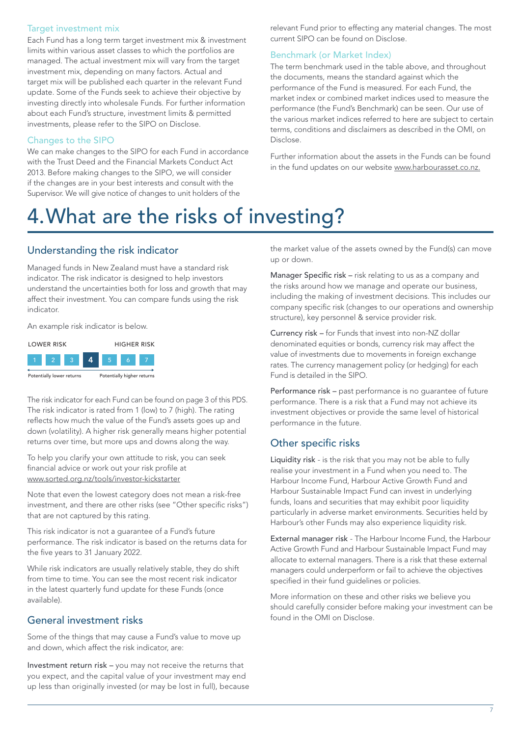#### Target investment mix

Each Fund has a long term target investment mix & investment limits within various asset classes to which the portfolios are managed. The actual investment mix will vary from the target investment mix, depending on many factors. Actual and target mix will be published each quarter in the relevant Fund update. Some of the Funds seek to achieve their objective by investing directly into wholesale Funds. For further information about each Fund's structure, investment limits & permitted investments, please refer to the SIPO on Disclose.

#### Changes to the SIPO

We can make changes to the SIPO for each Fund in accordance with the Trust Deed and the Financial Markets Conduct Act 2013. Before making changes to the SIPO, we will consider if the changes are in your best interests and consult with the Supervisor. We will give notice of changes to unit holders of the

relevant Fund prior to effecting any material changes. The most current SIPO can be found on Disclose.

#### Benchmark (or Market Index)

The term benchmark used in the table above, and throughout the documents, means the standard against which the performance of the Fund is measured. For each Fund, the market index or combined market indices used to measure the performance (the Fund's Benchmark) can be seen. Our use of the various market indices referred to here are subject to certain terms, conditions and disclaimers as described in the OMI, on Disclose.

Further information about the assets in the Funds can be found in the fund updates on our website [www.harbourasset.co.nz.](http://www.harbourasset.co.nz)

# 4[.W](1.Key)hat are the risks of investing?

#### Understanding the risk indicator

Managed funds in New Zealand must have a standard risk indicator. The risk indicator is designed to help investors understand the uncertainties both for loss and growth that may affect their investment. You can compare funds using the risk indicator.

An example risk indicator is below.



The risk indicator for each Fund can be found on page 3 of this PDS. The risk indicator is rated from 1 (low) to 7 (high). The rating reflects how much the value of the Fund's assets goes up and down (volatility). A higher risk generally means higher potential returns over time, but more ups and downs along the way.

To help you clarify your own attitude to risk, you can seek financial advice or work out your risk profile at [www.sorted.org.nz/tools/investor-kickstarter](http://www.sorted.org.nz/tools/investor-kickstarter)

Note that even the lowest category does not mean a risk-free investment, and there are other risks (see "Other specific risks") that are not captured by this rating.

This risk indicator is not a guarantee of a Fund's future performance. The risk indicator is based on the returns data for the five years to 31 January 2022.

While risk indicators are usually relatively stable, they do shift from time to time. You can see the most recent risk indicator in the latest quarterly fund update for these Funds (once available).

### General investment risks

Some of the things that may cause a Fund's value to move up and down, which affect the risk indicator, are:

Investment return risk – you may not receive the returns that you expect, and the capital value of your investment may end up less than originally invested (or may be lost in full), because the market value of the assets owned by the Fund(s) can move up or down.

Manager Specific risk – risk relating to us as a company and the risks around how we manage and operate our business, including the making of investment decisions. This includes our company specific risk (changes to our operations and ownership structure), key personnel & service provider risk.

Currency risk – for Funds that invest into non-NZ dollar denominated equities or bonds, currency risk may affect the value of investments due to movements in foreign exchange rates. The currency management policy (or hedging) for each Fund is detailed in the SIPO.

Performance risk – past performance is no guarantee of future performance. There is a risk that a Fund may not achieve its investment objectives or provide the same level of historical performance in the future.

### Other specific risks

Liquidity risk - is the risk that you may not be able to fully realise your investment in a Fund when you need to. The Harbour Income Fund, Harbour Active Growth Fund and Harbour Sustainable Impact Fund can invest in underlying funds, loans and securities that may exhibit poor liquidity particularly in adverse market environments. Securities held by Harbour's other Funds may also experience liquidity risk.

External manager risk - The Harbour Income Fund, the Harbour Active Growth Fund and Harbour Sustainable Impact Fund may allocate to external managers. There is a risk that these external managers could underperform or fail to achieve the objectives specified in their fund guidelines or policies.

More information on these and other risks we believe you should carefully consider before making your investment can be found in the OMI on Disclose.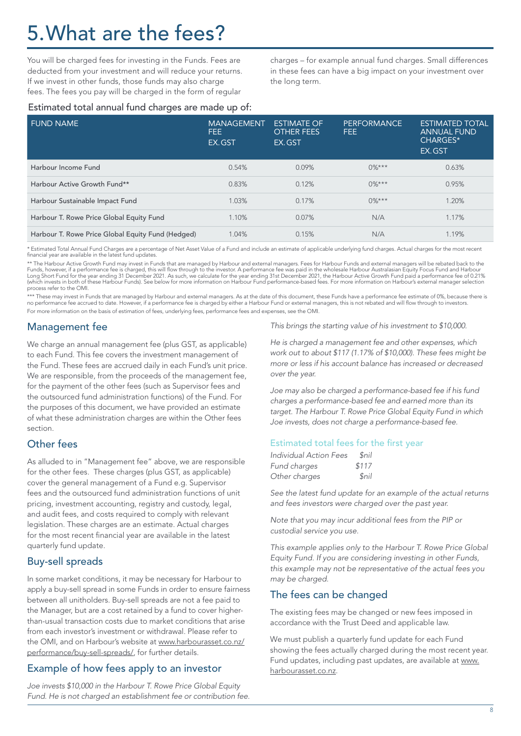# 5.What are the fees?

You will be charged fees for investing in the Funds. Fees are deducted from your investment and will reduce your returns. If we invest in other funds, those funds may also charge fees. The fees you pay will be charged in the form of regular

charges – for example annual fund charges. Small differences in these fees can have a big impact on your investment over the long term.

#### Estimated total annual fund charges are made up of:

| <b>FUND NAME</b>                                  | <b>MANAGEMENT</b><br>FEE.<br>EX.GST | <b>ESTIMATE OF</b><br><b>OTHER FEES</b><br>EX.GST | PERFORMANCE<br>FEE. | <b>ESTIMATED TOTAL</b><br><b>ANNUAL FUND</b><br>CHARGES*<br>EX.GST |
|---------------------------------------------------|-------------------------------------|---------------------------------------------------|---------------------|--------------------------------------------------------------------|
| Harbour Income Fund                               | 0.54%                               | 0.09%                                             | $0\%***$            | 0.63%                                                              |
| Harbour Active Growth Fund**                      | 0.83%                               | 0.12%                                             | $0\%***$            | 0.95%                                                              |
| Harbour Sustainable Impact Fund                   | 1.03%                               | 0.17%                                             | $0\%***$            | 1.20%                                                              |
| Harbour T. Rowe Price Global Equity Fund          | 1.10%                               | $0.07\%$                                          | N/A                 | 1.17%                                                              |
| Harbour T. Rowe Price Global Equity Fund (Hedged) | 1.04%                               | 0.15%                                             | N/A                 | 1.19%                                                              |

\* Estimated Total Annual Fund Charges are a percentage of Net Asset Value of a Fund and include an estimate of applicable underlying fund charges. Actual charges for the most recent<br>financial year are available in the late

\*\* The Harbour Active Growth Fund may invest in Funds that are managed by Harbour and external managers. Fees for Harbour Funds and external managers will be rebated back to the<br>Funds, however, if a performance fee is char process refer to the OMI.

\*\*\* These may invest in Funds that are managed by Harbour and external managers. As at the date of this document, these Funds have a performance fee estimate of 0%, because there is<br>no performance fee accrued to date. Howe For more information on the basis of estimation of fees, underlying fees, performance fees and expenses, see the OMI.

### Management fee

We charge an annual management fee (plus GST, as applicable) to each Fund. This fee covers the investment management of the Fund. These fees are accrued daily in each Fund's unit price. We are responsible, from the proceeds of the management fee, for the payment of the other fees (such as Supervisor fees and the outsourced fund administration functions) of the Fund. For the purposes of this document, we have provided an estimate of what these administration charges are within the Other fees section.

#### Other fees

As alluded to in "Management fee" above, we are responsible for the other fees. These charges (plus GST, as applicable) cover the general management of a Fund e.g. Supervisor fees and the outsourced fund administration functions of unit pricing, investment accounting, registry and custody, legal, and audit fees, and costs required to comply with relevant legislation. These charges are an estimate. Actual charges for the most recent financial year are available in the latest quarterly fund update.

### Buy-sell spreads

In some market conditions, it may be necessary for Harbour to apply a buy-sell spread in some Funds in order to ensure fairness between all unitholders. Buy-sell spreads are not a fee paid to the Manager, but are a cost retained by a fund to cover higherthan-usual transaction costs due to market conditions that arise from each investor's investment or withdrawal. Please refer to the OMI, and on Harbour's website at [www.harbourasset.co.nz/](http://www.harbourasset.co.nz/performance/buy-sell-spreads) [performance/buy-sell-spreads](http://www.harbourasset.co.nz/performance/buy-sell-spreads)/, for further details.

### Example of how fees apply to an investor

*Joe invests \$10,000 in the Harbour T. Rowe Price Global Equity Fund. He is not charged an establishment fee or contribution fee.*  *This brings the starting value of his investment to \$10,000.*

*He is charged a management fee and other expenses, which work out to about \$117 (1.17% of \$10,000). These fees might be more or less if his account balance has increased or decreased over the year.*

*Joe may also be charged a performance-based fee if his fund charges a performance-based fee and earned more than its target. The Harbour T. Rowe Price Global Equity Fund in which Joe invests, does not charge a performance-based fee.*

#### Estimated total fees for the first year

| Individual Action Fees | Snil               |
|------------------------|--------------------|
| Fund charges           | \$117              |
| Other charges          | <i><u>Snil</u></i> |

*See the latest fund update for an example of the actual returns and fees investors were charged over the past year.*

*Note that you may incur additional fees from the PIP or custodial service you use.*

*This example applies only to the Harbour T. Rowe Price Global Equity Fund. If you are considering investing in other Funds, this example may not be representative of the actual fees you may be charged.*

#### The fees can be changed

The existing fees may be changed or new fees imposed in accordance with the Trust Deed and applicable law.

We must publish a quarterly fund update for each Fund showing the fees actually charged during the most recent year. Fund updates, including past updates, are available at [www.](http://www.harbourasset.co.nz) [harbourasset.co.nz.](http://www.harbourasset.co.nz)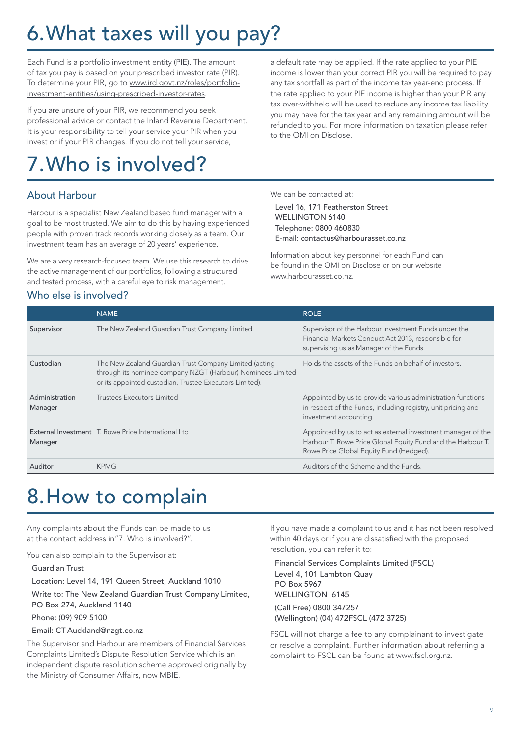# 6.What taxes will you pay?

Each Fund is a portfolio investment entity (PIE). The amount of tax you pay is based on your prescribed investor rate (PIR). To determine your PIR, go to [www.ird.govt.nz/roles/portfolio](https://www.ird.govt.nz/roles/portfolio-investment-entities/using-prescribed-investor-rates)[investment-entities/using-prescribed-investor-rates](https://www.ird.govt.nz/roles/portfolio-investment-entities/using-prescribed-investor-rates).

If you are unsure of your PIR, we recommend you seek professional advice or contact the Inland Revenue Department. It is your responsibility to tell your service your PIR when you invest or if your PIR changes. If you do not tell your service,

# 7.Who is involved?

### About Harbour

Harbour is a specialist New Zealand based fund manager with a goal to be most trusted. We aim to do this by having experienced people with proven track records working closely as a team. Our investment team has an average of 20 years' experience.

We are a very research-focused team. We use this research to drive the active management of our portfolios, following a structured and tested process, with a careful eye to risk management.

a default rate may be applied. If the rate applied to your PIE income is lower than your correct PIR you will be required to pay any tax shortfall as part of the income tax year-end process. If the rate applied to your PIE income is higher than your PIR any tax over-withheld will be used to reduce any income tax liability you may have for the tax year and any remaining amount will be refunded to you. For more information on taxation please refer to the OMI on Disclose.

We can be contacted at:

Level 16, 171 Featherston Street WELLINGTON 6140 Telephone: 0800 460830 E-mail: contactus@harbourasset.co.nz

Information about key personnel for each Fund can be found in the OMI on Disclose or on our website [www.harbourasset.co.nz](http://www.harbourasset.co.nz).

#### Who else is involved?

|                           | <b>NAME</b>                                                                                                                                                                      | <b>ROLE</b>                                                                                                                                                            |
|---------------------------|----------------------------------------------------------------------------------------------------------------------------------------------------------------------------------|------------------------------------------------------------------------------------------------------------------------------------------------------------------------|
| Supervisor                | The New Zealand Guardian Trust Company Limited.                                                                                                                                  | Supervisor of the Harbour Investment Funds under the<br>Financial Markets Conduct Act 2013, responsible for<br>supervising us as Manager of the Funds.                 |
| Custodian                 | The New Zealand Guardian Trust Company Limited (acting<br>through its nominee company NZGT (Harbour) Nominees Limited<br>or its appointed custodian, Trustee Executors Limited). | Holds the assets of the Funds on behalf of investors.                                                                                                                  |
| Administration<br>Manager | Trustees Executors Limited                                                                                                                                                       | Appointed by us to provide various administration functions<br>in respect of the Funds, including registry, unit pricing and<br>investment accounting.                 |
| Manager                   | External Investment T. Rowe Price International Ltd                                                                                                                              | Appointed by us to act as external investment manager of the<br>Harbour T. Rowe Price Global Equity Fund and the Harbour T.<br>Rowe Price Global Equity Fund (Hedged). |
| Auditor                   | <b>KPMG</b>                                                                                                                                                                      | Auditors of the Scheme and the Funds.                                                                                                                                  |

# 8.How to complain

Any complaints about the Funds can be made to us at the contact address in"7. Who is involved?".

You can also complain to the Supervisor at:

Guardian Trust

Location: Level 14, 191 Queen Street, Auckland 1010

Write to: The New Zealand Guardian Trust Company Limited, PO Box 274, Auckland 1140

Phone: (09) 909 5100

#### Email: CT-Auckland@nzgt.co.nz

The Supervisor and Harbour are members of Financial Services Complaints Limited's Dispute Resolution Service which is an independent dispute resolution scheme approved originally by the Ministry of Consumer Affairs, now MBIE.

If you have made a complaint to us and it has not been resolved within 40 days or if you are dissatisfied with the proposed resolution, you can refer it to:

Financial Services Complaints Limited (FSCL) Level 4, 101 Lambton Quay PO Box 5967 WELLINGTON 6145 (Call Free) 0800 347257 (Wellington) (04) 472FSCL (472 3725)

FSCL will not charge a fee to any complainant to investigate or resolve a complaint. Further information about referring a complaint to FSCL can be found at www.fscl.org.nz.